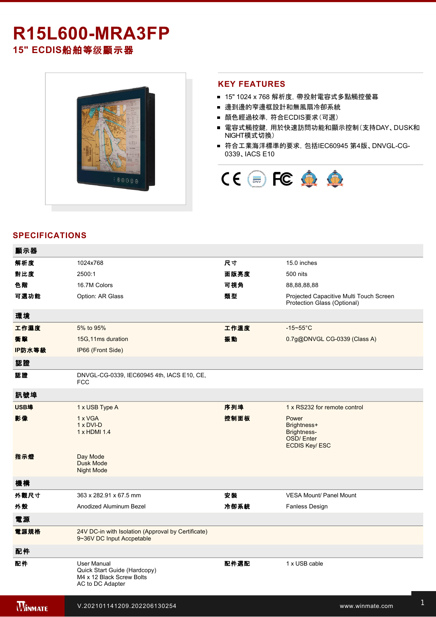# **R15L600-MRA3FP**

**15" ECDIS**船舶等级顯示器



1 x HDMI cable to the control of the control of the control of the control of the control of

### **KEY FEATURES**

- 15" 1024 x 768 解析度, 帶投射電容式多點觸控螢幕
- 邊到邊的窄邊框設計和無風扇冷卻系統
- 顏色經過校準,符合ECDIS要求(可選)
- 電容式觸控鍵, 用於快速訪問功能和顯示控制(支持DAY、DUSK和 NIGHT模式切換)
- 符合工業海洋標準的要求, 包括IEC60945 第4版、DNVGL-CG-0339、IACS E10



# **SPECIFICATIONS**

| 顯示器            |                                                                                              |      |                                                                                 |
|----------------|----------------------------------------------------------------------------------------------|------|---------------------------------------------------------------------------------|
| 解析度            | 1024x768                                                                                     | 尺寸   | 15.0 inches                                                                     |
| 對比度            | 2500:1                                                                                       | 面版亮度 | 500 nits                                                                        |
| 色階             | 16.7M Colors                                                                                 | 可視角  | 88,88,88,88                                                                     |
| 可選功能           | Option: AR Glass                                                                             | 類型   | Projected Capacitive Multi Touch Screen<br>Protection Glass (Optional)          |
| 環境             |                                                                                              |      |                                                                                 |
| 工作濕度           | 5% to 95%                                                                                    | 工作溫度 | $-15 - 55$ °C                                                                   |
| 衝擊             | 15G, 11ms duration                                                                           | 振動   | 0.7g@DNVGL CG-0339 (Class A)                                                    |
| IP防水等級         | IP66 (Front Side)                                                                            |      |                                                                                 |
| 認證             |                                                                                              |      |                                                                                 |
| 認證             | DNVGL-CG-0339, IEC60945 4th, IACS E10, CE,<br><b>FCC</b>                                     |      |                                                                                 |
| 訊號埠            |                                                                                              |      |                                                                                 |
| <b>USB埠</b>    | 1 x USB Type A                                                                               | 序列埠  | 1 x RS232 for remote control                                                    |
| 影像             | 1 x VGA<br>1 x DVI-D<br>1 x HDMI 1.4                                                         | 控制面板 | Power<br>Brightness+<br>Brightness-<br><b>OSD/Enter</b><br><b>ECDIS Key/ESC</b> |
| 指示燈            | Day Mode<br><b>Dusk Mode</b><br><b>Night Mode</b>                                            |      |                                                                                 |
| 機構             |                                                                                              |      |                                                                                 |
| 外觀尺寸           | 363 x 282.91 x 67.5 mm                                                                       | 安裝   | <b>VESA Mount/ Panel Mount</b>                                                  |
| 外殼             | Anodized Aluminum Bezel                                                                      | 冷卻系統 | Fanless Design                                                                  |
| 電源             |                                                                                              |      |                                                                                 |
| 電源規格           | 24V DC-in with Isolation (Approval by Certificate)<br>9~36V DC Input Accpetable              |      |                                                                                 |
| 配件             |                                                                                              |      |                                                                                 |
| 配件             | User Manual<br>Quick Start Guide (Hardcopy)<br>M4 x 12 Black Screw Bolts<br>AC to DC Adapter | 配件選配 | 1 x USB cable                                                                   |
| <b>WINMATE</b> | V.202101141209.202206130254                                                                  |      | www.winmate.com                                                                 |